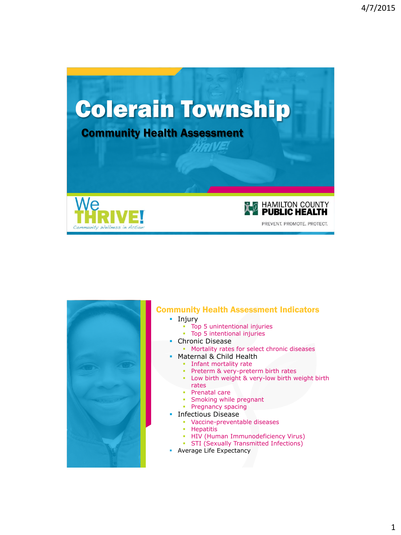



### Community Health Assessment Indicators

- **I**njury
	- Top 5 unintentional injuries
	- Top 5 intentional injuries
	- Chronic Disease
		- **Mortality rates for select chronic diseases**
	- Maternal & Child Health
	- **Infant mortality rate** 
		- **Preterm & very-preterm birth rates**
		- Low birth weight & very-low birth weight birth rates
		- **Prenatal care**
		- **Smoking while pregnant**
		- **Pregnancy spacing**
	- Infectious Disease
		- Vaccine-preventable diseases
		- **-** Hepatitis
		- **HIV (Human Immunodeficiency Virus)**
		- **STI (Sexually Transmitted Infections)**
- **Average Life Expectancy**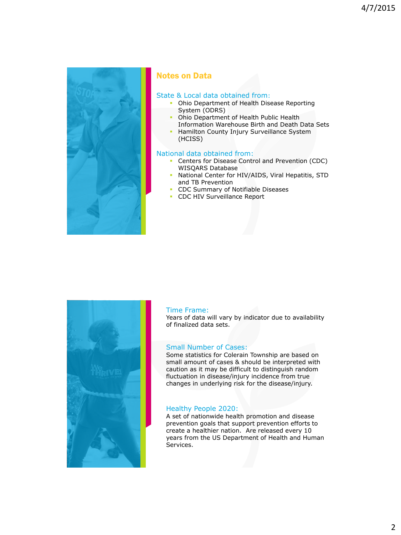

### Notes on Data

### State & Local data obtained from:

- **Ohio Department of Health Disease Reporting** System (ODRS)
- **-** Ohio Department of Health Public Health Information Warehouse Birth and Death Data Sets
- **Hamilton County Injury Surveillance System** (HCISS)

### National data obtained from:

- Centers for Disease Control and Prevention (CDC) WISQARS Database
- National Center for HIV/AIDS, Viral Hepatitis, STD and TB Prevention
- CDC Summary of Notifiable Diseases
- **CDC HIV Surveillance Report**



#### Time Frame:

Years of data will vary by indicator due to availability of finalized data sets.

#### Small Number of Cases:

Some statistics for Colerain Township are based on small amount of cases & should be interpreted with caution as it may be difficult to distinguish random fluctuation in disease/injury incidence from true changes in underlying risk for the disease/injury.

### Healthy People 2020:

A set of nationwide health promotion and disease prevention goals that support prevention efforts to create a healthier nation. Are released every 10 years from the US Department of Health and Human Services.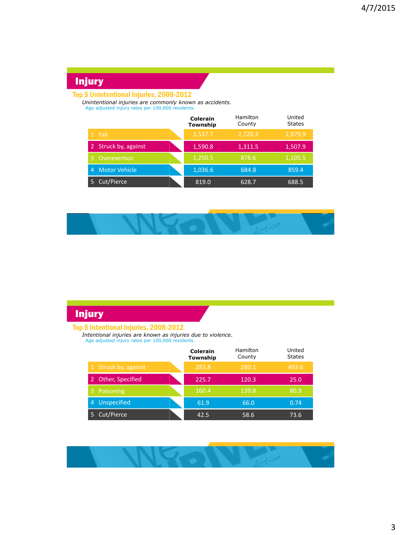# Injury

### Top 5 Unintentional Injuries, 2008-2012

*Unintentional injuries are commonly known as accidents.* Age adjusted injury rates per 100,000 residents.

|                           | Colerain<br>Township | Hamilton<br>County | United<br><b>States</b> |
|---------------------------|----------------------|--------------------|-------------------------|
| 1 Fall                    | 3,537.7              | 2,728.3            | 2,879.9                 |
| 2 Struck by, against      | 1,590.8              | 1,311.5            | 1,507.9                 |
| Overexertion<br>3         | 1,250.5              | 878.6              | 1,105.5                 |
| <b>Motor Vehicle</b><br>4 | 1,036.6              | 684.8              | 859.4                   |
| Cut/Pierce                | 819.0                | 628.7              | 688.5                   |



# Injury

#### Top 5 Intentional Injuries, 2008-2012

*Intentional injuries are known as injuries due to violence.* Age adjusted injury rates per 100,000 residents.

|                       | <b>Colerain</b><br>Township | Hamilton<br>County | United<br><b>States</b> |
|-----------------------|-----------------------------|--------------------|-------------------------|
| 1 Struck by, against  | 283.8                       | 280.1              | 493.6                   |
| Other, Specified<br>2 | 225.7                       | 120.3              | 25.0                    |
| Poisoning<br>ß'       | 160.4                       | 139.8              | 80.9                    |
| Unspecified<br>4      | 61.9                        | 66.0               | 0.74                    |
| Cut/Pierce<br>5       | 42.5                        | 58.6               | 73.6                    |

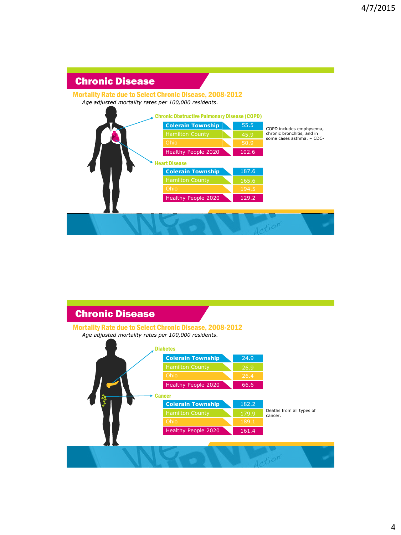# Chronic Disease

### Mortality Rate due to Select Chronic Disease, 2008-2012

*Age adjusted mortality rates per 100,000 residents.*



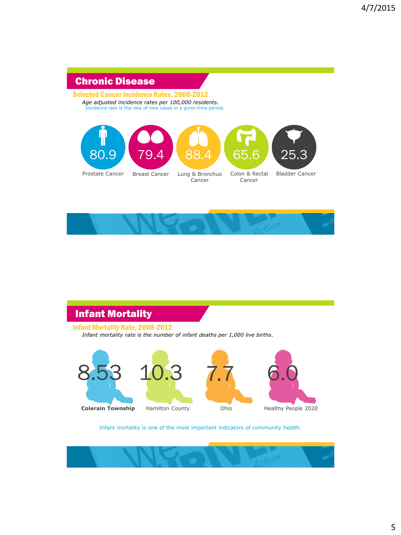# Chronic Disease

#### Selected Cancer Incidence Rates, 2008-2012 *Age adjusted incidence rates per 100,000 residents.*

Incidence rate is the rate of new cases in a given time period.





# Infant Mortality

### Infant Mortality Rate, 2008-2012

*Infant mortality rate is the number of infant deaths per 1,000 live births.*









#### Infant mortality is one of the most important indicators of community health*.*

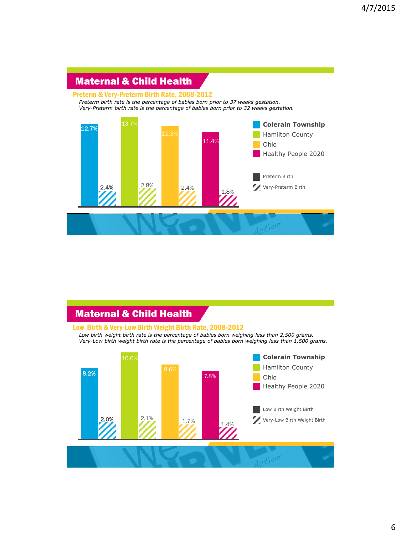# Maternal & Child Health

#### Preterm & Very-Preterm Birth Rate, 2008-2012

*Preterm birth rate is the percentage of babies born prior to 37 weeks gestation. Very-Preterm birth rate is the percentage of babies born prior to 32 weeks gestation.*



## Maternal & Child Health

#### Low Birth & Very-Low Birth Weight Birth Rate, 2008-2012

*Low birth weight birth rate is the percentage of babies born weighing less than 2,500 grams. Very-Low birth weight birth rate is the percentage of babies born weighing less than 1,500 grams.*

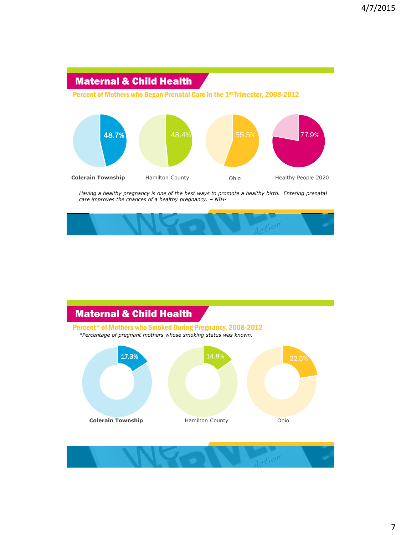# Maternal & Child Health

Percent of Mothers who Began Prenatal Care in the 1st Trimester, 2008-2012



*Having a healthy pregnancy is one of the best ways to promote a healthy birth. Entering prenatal care improves the chances of a healthy pregnancy. – NIH-*



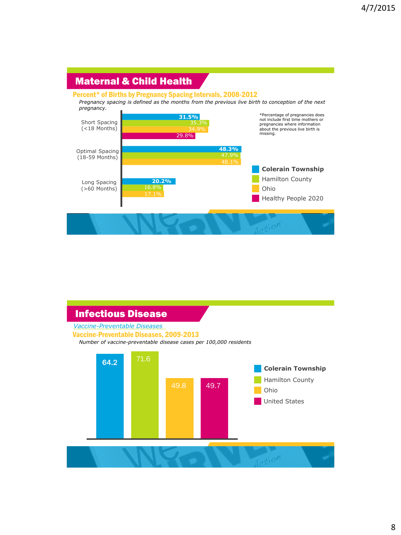## Maternal & Child Health

#### Percent\* of Births by Pregnancy Spacing Intervals, 2008-2012

*Pregnancy spacing is defined as the months from the previous live birth to conception of the next pregnancy.*



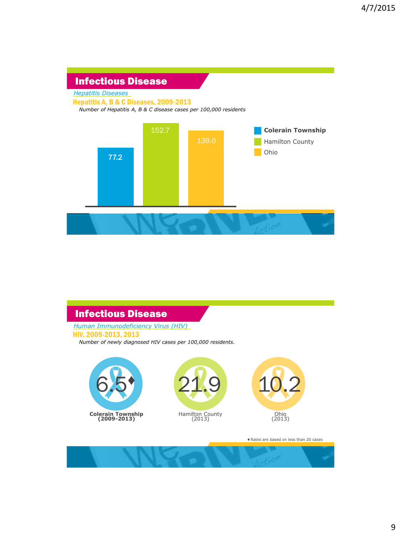### Infectious Disease

*Hepatitis Diseases*

Hepatitis A, B & C Diseases, 2009-2013

*Number of Hepatitis A, B & C disease cases per 100,000 residents*



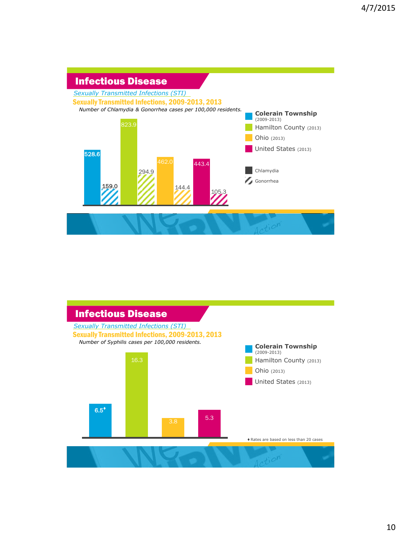